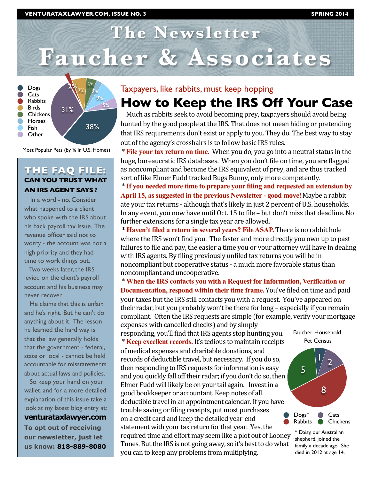# **The Newsletter Faucher & Associates**



Most Popular Pets (by % in U.S. Homes)

#### **THE FAQ FILE: CAN YOU TRUST WHAT AN IRS AGENT SAYS ?**

 In a word - no. Consider what happened to a client who spoke with the IRS about his back payroll tax issue. The revenue officer said not to worry - the account was not a high priority and they had time to work things out.

 Two weeks later, the IRS levied on the client's payroll account and his business may never recover.

 He claims that this is unfair, and he's right. But he can't do anything about it. The lesson he learned the hard way is that the law generally holds that the government - federal, state or local - cannot be held accountable for misstatements about actual laws and policies.

 So keep your hand on your wallet, and for a more detailed explanation of this issue take a look at my latest blog entry at: **venturataxlawyer.com To opt out of receiving our newsletter, just let us know: 818-889-8080**

# Taxpayers, like rabbits, must keep hopping

# **How to Keep the IRS Off Your Case**

Much as rabbits seek to avoid becoming prey, taxpayers should avoid being hunted by the good people at the IRS. That does not mean hiding or pretending that IRS requirements don't exist or apply to you. They do. The best way to stay out of the agency's crosshairs is to follow basic IRS rules.

 \* **File your tax return on time.** When you do, you go into a neutral status in the huge, bureaucratic IRS databases. When you don't file on time, you are flagged as noncompliant and become the IRS equivalent of prey, and are thus tracked sort of like Elmer Fudd tracked Bugs Bunny, only more competently.

 \* **If you needed more time to prepare your filing and requested an extension by April 15, as suggested in the previous Newsletter - good move!**Maybe a rabbit ate your tax returns ‐ although that's likely in just 2 percent of U.S. households. In any event, you now have until Oct. 15 to file – but don't miss that deadline. No further extensions for a single tax year are allowed.

 **\* Haven't filed a return in several years? File ASAP.** There is no rabbit hole where the IRS won't find you. The faster and more directly you own up to past failures to file and pay, the easier a time you or your attorney will have in dealing with IRS agents. By filing previously unfiled tax returns you will be in noncompliant but cooperative status ‐ a much more favorable status than noncompliant and uncooperative.

 \* **When the IRS contacts you with a Request for Information, Verification or Documentation, respond within their time frame.**You've filed on time and paid your taxes but the IRS still contacts you with a request. You've appeared on their radar, but you probably won't be there for long – especially if you remain compliant. Often the IRS requests are simple (for example, verify your mortgage expenses with cancelled checks) and by simply

responding, you'll find that IRS agents stop hunting you. \* **Keep excellent records.** It's tedious to maintain receipts of medical expenses and charitable donations, and records of deductible travel, but necessary. If you do so, then responding to IRS requests for information is easy and you quickly fall off their radar; if you don't do so, then Elmer Fudd will likely be on your tail again. Invest in a good bookkeeper or accountant. Keep notes of all deductible travel in an appointment calendar. If you have trouble saving or filing receipts, put most purchases on a credit card and keep the detailed year‐end statement with your tax return for that year. Yes, the required time and effort may seem like a plot out of Looney Tunes. But the IRS is not going away, so it's best to do what you can to keep any problems from multiplying.



Dogs\* Cats Rabbits Chickens

8

\* Daisy, our Australian shepherd, joined the family a decade ago. She died in 2012 at age 14.